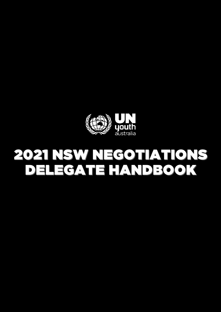

# 2021 NSW NEGOTIATIONS DELECATE HANDBOOK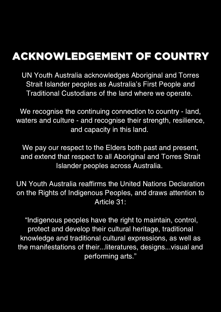# **ACKNOWLEDGEMENT OF COUNTRY**

UN Youth Australia acknowledges Aboriginal and Torres Strait Islander peoples as Australia's First People and Traditional Custodians of the land where we operate.

We recognise the continuing connection to country - land, waters and culture - and recognise their strength, resilience, and capacity in this land.

We pay our respect to the Elders both past and present, and extend that respect to all Aboriginal and Torres Strait Islander peoples across Australia.

UN Youth Australia reaffirms the United Nations Declaration on the Rights of Indigenous Peoples, and draws attention to Article 31:

"Indigenous peoples have the right to maintain, control, protect and develop their cultural heritage, traditional knowledge and traditional cultural expressions, as well as the manifestations of their...literatures, designs...visual and performing arts."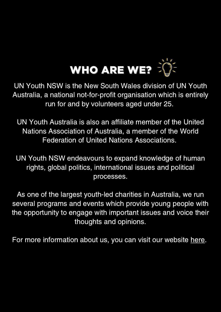

UN Youth NSW is the New South Wales division of UN Youth Australia, a national not-for-profit organisation which is entirely run for and by volunteers aged under 25.

UN Youth Australia is also an affiliate member of the United Nations Association of Australia, a member of the World Federation of United Nations Associations.

UN Youth NSW endeavours to expand knowledge of human rights, global politics, international issues and political processes.

As one of the largest youth-led charities in Australia, we run several programs and events which provide young people with the opportunity to engage with important issues and voice their thoughts and opinions.

For more information about us, you can visit our website [here](http://www.unyouth.org.au/).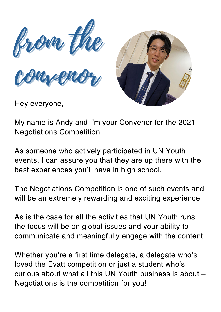



Hey everyone,

My name is Andy and I'm your Convenor for the 2021 Negotiations Competition!

As someone who actively participated in UN Youth events, I can assure you that they are up there with the best experiences you'll have in high school.

The Negotiations Competition is one of such events and will be an extremely rewarding and exciting experience!

As is the case for all the activities that UN Youth runs, the focus will be on global issues and your ability to communicate and meaningfully engage with the content.

Whether you're a first time delegate, a delegate who's loved the Evatt competition or just a student who's curious about what all this UN Youth business is about – Negotiations is the competition for you!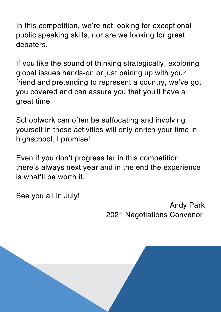In this competition, we're not looking for exceptional public speaking skills, nor are we looking for great debaters.

If you like the sound of thinking strategically, exploring global issues hands-on or just pairing up with your friend and pretending to represent a country, we've got you covered and can assure you that you'll have a great time.

Schoolwork can often be suffocating and involving yourself in these activities will only enrich your time in highschool. I promise!

Even if you don't progress far in this competition, there's always next year and in the end the experience is what'll be worth it.

See you all in July!

Andy Park 2021 Negotiations Convenor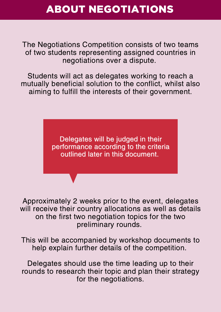The Negotiations Competition consists of two teams of two students representing assigned countries in negotiations over a dispute.

Students will act as delegates working to reach a mutually beneficial solution to the conflict, whilst also aiming to fulfill the interests of their government.

> Delegates will be judged in their performance according to the criteria outlined later in this document.

Approximately 2 weeks prior to the event, delegates will receive their country allocations as well as details on the first two negotiation topics for the two preliminary rounds.

This will be accompanied by workshop documents to help explain further details of the competition.

Delegates should use the time leading up to their rounds to research their topic and plan their strategy for the negotiations.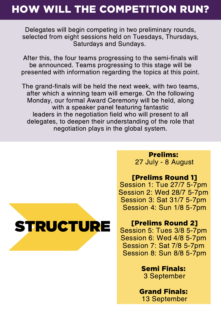# HOW WILL THE COMPETITION RUN?

Delegates will begin competing in two preliminary rounds, selected from eight sessions held on Tuesdays, Thursdays, Saturdays and Sundays.

After this, the four teams progressing to the semi-finals will be announced. Teams progressing to this stage will be presented with information regarding the topics at this point.

The grand-finals will be held the next week, with two teams, after which a winning team will emerge. On the following Monday, our formal Award Ceremony will be held, along with a speaker panel featuring fantastic leaders in the negotiation field who will present to all delegates, to deepen their understanding of the role that negotiation plays in the global system.

STRUCTURE

Prelims: 27 July - 8 August

#### [Prelims Round 1]

Session 1: Tue 27/7 5-7pm Session 2: Wed 28/7 5-7pm Session 3: Sat 31/7 5-7pm Session 4: Sun 1/8 5-7pm

#### [Prelims Round 2]

Session 5: Tues 3/8 5-7pm Session 6: Wed 4/8 5-7pm Session 7: Sat 7/8 5-7pm Session 8: Sun 8/8 5-7pm

> Semi Finals: 3 September

Grand Finals: 13 September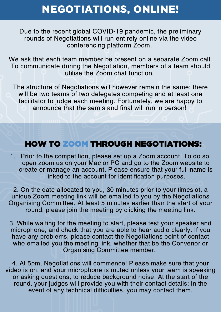# NEGOTIATIONS, ONLINE!

Due to the recent global COVID-19 pandemic, the preliminary rounds of Negotiations will run entirely online via the video conferencing platform Zoom.

We ask that each team member be present on a separate Zoom call. To communicate during the Negotiation, members of a team should utilise the Zoom chat function.

The structure of Negotiations will however remain the same; there will be two teams of two delegates competing and at least one facilitator to judge each meeting. Fortunately, we are happy to announce that the semis and final will run in person!

# HOW TO ZOOM THROUGH NEGOTIATIONS:

Prior to the competition, please set up a Zoom account. To do so, open zoom.us on your Mac or PC and go to the Zoom website to create or manage an account. Please ensure that your full name is linked to the account for identification purposes. 1.

2. On the date allocated to you, 30 minutes prior to your timeslot, a unique Zoom meeting link will be emailed to you by the Negotiations Organising Committee. At least 5 minutes earlier than the start of your round, please join the meeting by clicking the meeting link.

3. While waiting for the meeting to start, please test your speaker and microphone, and check that you are able to hear audio clearly. If you have any problems, please contact the Negotiations point of contact who emailed you the meeting link, whether that be the Convenor or Organising Committee member.

4. At 5pm, Negotiations will commence! Please make sure that your video is on, and your microphone is muted unless your team is speaking or asking questions, to reduce background noise. At the start of the round, your judges will provide you with their contact details; in the event of any technical difficulties, you may contact them.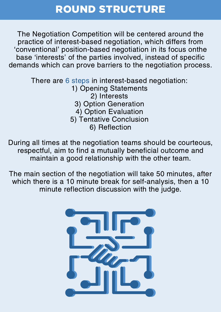# ROUND STRUCTURE

The Negotiation Competition will be centered around the practice of interest-based negotiation, which differs from 'conventional' position-based negotiation in its focus onthe base 'interests' of the parties involved, instead of specific demands which can prove barriers to the negotiation process.

> There are 6 steps in interest-based negotiation: 1) Opening Statements 2) Interests 3) Option Generation 4) Option Evaluation 5) Tentative Conclusion 6) Reflection

During all times at the negotiation teams should be courteous, respectful, aim to find a mutually beneficial outcome and maintain a good relationship with the other team.

The main section of the negotiation will take 50 minutes, after which there is a 10 minute break for self-analysis, then a 10 minute reflection discussion with the judge.

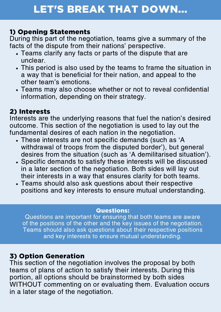### 1) Opening Statements

During this part of the negotiation, teams give a summary of the facts of the dispute from their nations' perspective.

- Teams clarify any facts or parts of the dispute that are unclear.
- This period is also used by the teams to frame the situation in a way that is beneficial for their nation, and appeal to the other team's emotions.
- Teams may also choose whether or not to reveal confidential information, depending on their strategy.

### 2) Interests

Interests are the underlying reasons that fuel the nation's desired outcome. This section of the negotiation is used to lay out the fundamental desires of each nation in the negotiation.

- These interests are not specific demands (such as 'A withdrawal of troops from the disputed border'), but general desires from the situation (such as 'A demilitarised situation').
- Specific demands to satisfy these interests will be discussed in a later section of the negotiation. Both sides will lay out their interests in a way that ensures clarity for both teams.
- Teams should also ask questions about their respective positions and key interests to ensure mutual understanding.

#### Questions:

Questions are important for ensuring that both teams are aware of the positions of the other and the key issues of the negotiation. Teams should also ask questions about their respective positions and key interests to ensure mutual understanding.

#### 3) Option Generation

This section of the negotiation involves the proposal by both teams of plans of action to satisfy their interests. During this portion, all options should be brainstormed by both sides WITHOUT commenting on or evaluating them. Evaluation occurs in a later stage of the negotiation.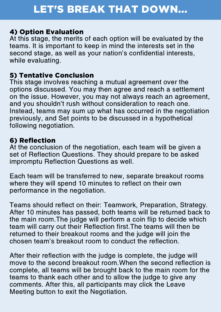#### 4) Option Evaluation

At this stage, the merits of each option will be evaluated by the teams. It is important to keep in mind the interests set in the second stage, as well as your nation's confidential interests, while evaluating.

## 5) Tentative Conclusion

This stage involves reaching a mutual agreement over the options discussed. You may then agree and reach a settlement on the issue. However, you may not always reach an agreement, and you shouldn't rush without consideration to reach one. Instead, teams may sum up what has occurred in the negotiation previously, and Set points to be discussed in a hypothetical following negotiation.

## 6) Reflection

At the conclusion of the negotiation, each team will be given a set of Reflection Questions. They should prepare to be asked impromptu Reflection Questions as well.

Each team will be transferred to new, separate breakout rooms where they will spend 10 minutes to reflect on their own performance in the negotiation.

Teams should reflect on their: Teamwork, Preparation, Strategy. After 10 minutes has passed, both teams will be returned back to the main room.The judge will perform a coin flip to decide which team will carry out their Reflection first.The teams will then be returned to their breakout rooms and the judge will join the chosen team's breakout room to conduct the reflection.

After their reflection with the judge is complete, the judge will move to the second breakout room.When the second reflection is complete, all teams will be brought back to the main room for the teams to thank each other and to allow the judge to give any comments. After this, all participants may click the Leave Meeting button to exit the Negotiation.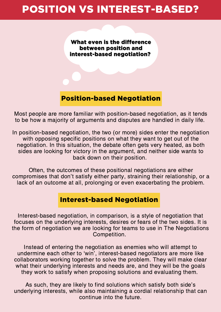# POSITION VS INTEREST-BASED?

What even is the difference between position and interest-based negotiation?

#### Position-based Negotiation

Most people are more familiar with position-based negotiation, as it tends to be how a majority of arguments and disputes are handled in daily life.

In position-based negotiation, the two (or more) sides enter the negotiation with opposing specific positions on what they want to get out of the negotiation. In this situation, the debate often gets very heated, as both sides are looking for victory in the argument, and neither side wants to back down on their position.

Often, the outcomes of these positional negotiations are either compromises that don't satisfy either party, straining their relationship, or a lack of an outcome at all, prolonging or even exacerbating the problem.

#### Interest-based Negotiation

Interest-based negotiation, in comparison, is a style of negotiation that focuses on the underlying interests, desires or fears of the two sides. It is the form of negotiation we are looking for teams to use in The Negotiations Competition.

Instead of entering the negotiation as enemies who will attempt to undermine each other to 'win', interest-based negotiators are more like collaborators working together to solve the problem. They will make clear what their underlying interests and needs are, and they will be the goals they work to satisfy when proposing solutions and evaluating them.

As such, they are likely to find solutions which satisfy both side's underlying interests, while also maintaining a cordial relationship that can continue into the future.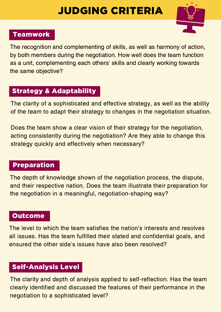# JUDGING CRITERIA



#### Teamwork

The recognition and complementing of skills, as well as harmony of action, by both members during the negotiation. How well does the team function as a unit, complementing each others' skills and clearly working towards the same objective?

## Strategy & Adaptability

The clarity of a sophisticated and effective strategy, as well as the ability of the team to adapt their strategy to changes in the negotiation situation.

Does the team show a clear vision of their strategy for the negotiation, acting consistently during the negotiation? Are they able to change this strategy quickly and effectively when necessary?

### Preparation

The depth of knowledge shown of the negotiation process, the dispute, and their respective nation. Does the team illustrate their preparation for the negotiation in a meaningful, negotiation-shaping way?

### Outcome

The level to which the team satisfies the nation's interests and resolves all issues. Has the team fulfilled their stated and confidential goals, and ensured the other side's issues have also been resolved?

## Self-Analysis Level

The clarity and depth of analysis applied to self-reflection. Has the team clearly identified and discussed the features of their performance in the negotiation to a sophisticated level?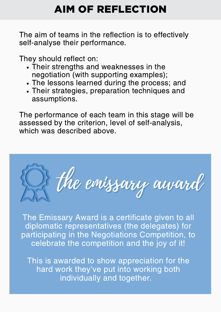# AIM OF REFLECTION

The aim of teams in the reflection is to effectively self-analyse their performance.

They should reflect on:

- Their strengths and weaknesses in the negotiation (with supporting examples);
- The lessons learned during the process; and
- Their strategies, preparation techniques and assumptions.

The performance of each team in this stage will be assessed by the criterion, level of self-analysis, which was described above.



The Emissary Award is a certificate given to all diplomatic representatives (the delegates) for participating in the Negotiations Competition, to celebrate the competition and the joy of it!

This is awarded to show appreciation for the hard work they've put into working both individually and together.